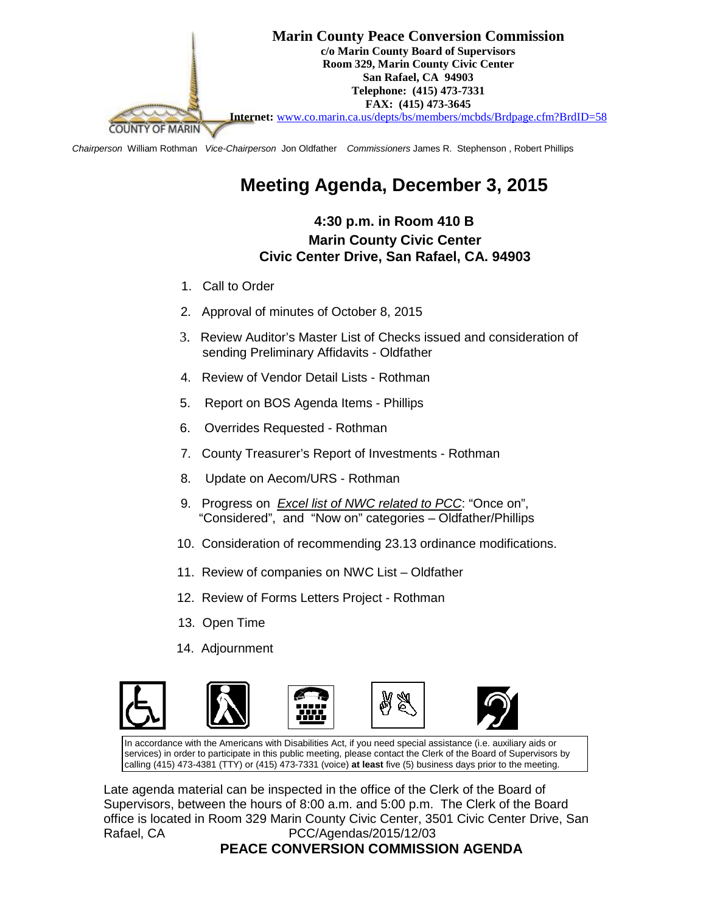

*Chairperson* William Rothman *Vice-Chairperson* Jon Oldfather *Commissioners* James R. Stephenson , Robert Phillips

## **Meeting Agenda, December 3, 2015**

## **4:30 p.m. in Room 410 B Marin County Civic Center Civic Center Drive, San Rafael, CA. 94903**

- 1. Call to Order
- 2. Approval of minutes of October 8, 2015
- 3. Review Auditor's Master List of Checks issued and consideration of sending Preliminary Affidavits - Oldfather
- 4. Review of Vendor Detail Lists Rothman
- 5. Report on BOS Agenda Items Phillips
- 6. Overrides Requested Rothman
- 7. County Treasurer's Report of Investments Rothman
- 8. Update on Aecom/URS Rothman
- 9. Progress on *Excel list of NWC related to PCC*: "Once on", "Considered", and "Now on" categories – Oldfather/Phillips
- 10. Consideration of recommending 23.13 ordinance modifications.
- 11. Review of companies on NWC List Oldfather
- 12. Review of Forms Letters Project Rothman
- 13. Open Time
- 14. Adjournment



In accordance with the Americans with Disabilities Act, if you need special assistance (i.e. auxiliary aids or services) in order to participate in this public meeting, please contact the Clerk of the Board of Supervisors by calling (415) 473-4381 (TTY) or (415) 473-7331 (voice) **at least** five (5) business days prior to the meeting.

Late agenda material can be inspected in the office of the Clerk of the Board of Supervisors, between the hours of 8:00 a.m. and 5:00 p.m. The Clerk of the Board office is located in Room 329 Marin County Civic Center, 3501 Civic Center Drive, San Rafael, CA **PCC/Agendas/2015/12/03** 

## **PEACE CONVERSION COMMISSION AGENDA**